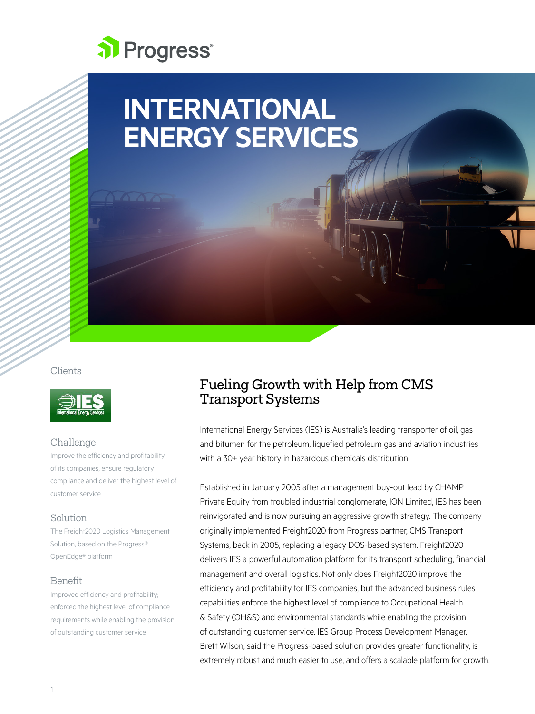

# **INTERNATIONAL ENERGY SERVICES**

Clients



## Challenge

Improve the efficiency and profitability of its companies, ensure regulatory compliance and deliver the highest level of customer service

## Solution

The Freight2020 Logistics Management Solution, based on the Progress® OpenEdge® platform

#### Benefit

Improved efficiency and profitability; enforced the highest level of compliance requirements while enabling the provision of outstanding customer service

## Fueling Growth with Help from CMS Transport Systems

International Energy Services (IES) is Australia's leading transporter of oil, gas and bitumen for the petroleum, liquefied petroleum gas and aviation industries with a 30+ year history in hazardous chemicals distribution.

Established in January 2005 after a management buy-out lead by CHAMP Private Equity from troubled industrial conglomerate, ION Limited, IES has been reinvigorated and is now pursuing an aggressive growth strategy. The company originally implemented Freight2020 from Progress partner, CMS Transport Systems, back in 2005, replacing a legacy DOS-based system. Freight2020 delivers IES a powerful automation platform for its transport scheduling, financial management and overall logistics. Not only does Freight2020 improve the efficiency and profitability for IES companies, but the advanced business rules capabilities enforce the highest level of compliance to Occupational Health & Safety (OH&S) and environmental standards while enabling the provision of outstanding customer service. IES Group Process Development Manager, Brett Wilson, said the Progress-based solution provides greater functionality, is extremely robust and much easier to use, and offers a scalable platform for growth.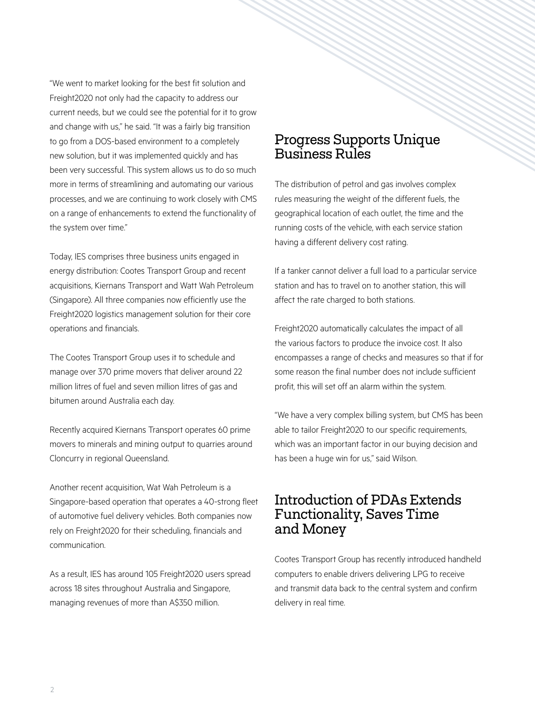"We went to market looking for the best fit solution and Freight2020 not only had the capacity to address our current needs, but we could see the potential for it to grow and change with us," he said. "It was a fairly big transition to go from a DOS-based environment to a completely new solution, but it was implemented quickly and has been very successful. This system allows us to do so much more in terms of streamlining and automating our various processes, and we are continuing to work closely with CMS on a range of enhancements to extend the functionality of the system over time."

Today, IES comprises three business units engaged in energy distribution: Cootes Transport Group and recent acquisitions, Kiernans Transport and Watt Wah Petroleum (Singapore). All three companies now efficiently use the Freight2020 logistics management solution for their core operations and financials.

The Cootes Transport Group uses it to schedule and manage over 370 prime movers that deliver around 22 million litres of fuel and seven million litres of gas and bitumen around Australia each day.

Recently acquired Kiernans Transport operates 60 prime movers to minerals and mining output to quarries around Cloncurry in regional Queensland.

Another recent acquisition, Wat Wah Petroleum is a Singapore-based operation that operates a 40-strong fleet of automotive fuel delivery vehicles. Both companies now rely on Freight2020 for their scheduling, financials and communication.

As a result, IES has around 105 Freight2020 users spread across 18 sites throughout Australia and Singapore, managing revenues of more than A\$350 million.

# Progress Supports Unique Business Rules

The distribution of petrol and gas involves complex rules measuring the weight of the different fuels, the geographical location of each outlet, the time and the running costs of the vehicle, with each service station having a different delivery cost rating.

If a tanker cannot deliver a full load to a particular service station and has to travel on to another station, this will affect the rate charged to both stations.

Freight2020 automatically calculates the impact of all the various factors to produce the invoice cost. It also encompasses a range of checks and measures so that if for some reason the final number does not include sufficient profit, this will set off an alarm within the system.

"We have a very complex billing system, but CMS has been able to tailor Freight2020 to our specific requirements, which was an important factor in our buying decision and has been a huge win for us," said Wilson.

## Introduction of PDAs Extends Functionality, Saves Time and Money

Cootes Transport Group has recently introduced handheld computers to enable drivers delivering LPG to receive and transmit data back to the central system and confirm delivery in real time.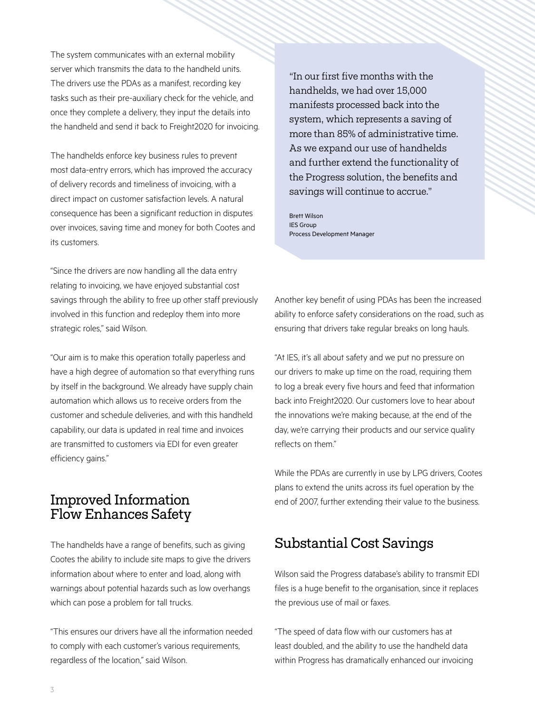The system communicates with an external mobility server which transmits the data to the handheld units. The drivers use the PDAs as a manifest, recording key tasks such as their pre-auxiliary check for the vehicle, and once they complete a delivery, they input the details into the handheld and send it back to Freight2020 for invoicing.

The handhelds enforce key business rules to prevent most data-entry errors, which has improved the accuracy of delivery records and timeliness of invoicing, with a direct impact on customer satisfaction levels. A natural consequence has been a significant reduction in disputes over invoices, saving time and money for both Cootes and its customers.

"Since the drivers are now handling all the data entry relating to invoicing, we have enjoyed substantial cost savings through the ability to free up other staff previously involved in this function and redeploy them into more strategic roles," said Wilson.

"Our aim is to make this operation totally paperless and have a high degree of automation so that everything runs by itself in the background. We already have supply chain automation which allows us to receive orders from the customer and schedule deliveries, and with this handheld capability, our data is updated in real time and invoices are transmitted to customers via EDI for even greater efficiency gains."

## Improved Information Flow Enhances Safety

The handhelds have a range of benefits, such as giving Cootes the ability to include site maps to give the drivers information about where to enter and load, along with warnings about potential hazards such as low overhangs which can pose a problem for tall trucks.

"This ensures our drivers have all the information needed to comply with each customer's various requirements, regardless of the location," said Wilson.

"In our first five months with the handhelds, we had over 15,000 manifests processed back into the system, which represents a saving of more than 85% of administrative time. As we expand our use of handhelds and further extend the functionality of the Progress solution, the benefits and savings will continue to accrue."

Brett Wilson IES Group Process Development Manager

Another key benefit of using PDAs has been the increased ability to enforce safety considerations on the road, such as ensuring that drivers take regular breaks on long hauls.

"At IES, it's all about safety and we put no pressure on our drivers to make up time on the road, requiring them to log a break every five hours and feed that information back into Freight2020. Our customers love to hear about the innovations we're making because, at the end of the day, we're carrying their products and our service quality reflects on them."

While the PDAs are currently in use by LPG drivers, Cootes plans to extend the units across its fuel operation by the end of 2007, further extending their value to the business.

# Substantial Cost Savings

Wilson said the Progress database's ability to transmit EDI files is a huge benefit to the organisation, since it replaces the previous use of mail or faxes.

"The speed of data flow with our customers has at least doubled, and the ability to use the handheld data within Progress has dramatically enhanced our invoicing